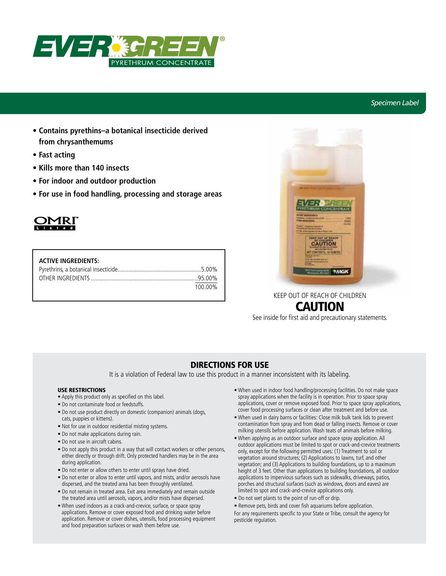

## *Specimen Label*

- **Contains pyrethins–a botanical insecticide derived from chrysanthemums**
- **Fast acting**
- **Kills more than 140 insects**
- **For indoor and outdoor production**
- **For use in food handling, processing and storage areas**



| <b>ACTIVE INGREDIENTS:</b> |         |
|----------------------------|---------|
|                            |         |
|                            |         |
|                            | 100.00% |



# CAUTION

See inside for first aid and precautionary statements.

## DIRECTIONS FOR USE

It is a violation of Federal law to use this product in a manner inconsistent with its labeling.

#### USE RESTRICTIONS

- Apply this product only as specified on this label.
- Do not contaminate food or feedstuffs.
- Do not use product directly on domestic (companion) animals (dogs, cats, puppies or kittens).
- Not for use in outdoor residential misting systems.
- Do not make applications during rain.
- Do not use in aircraft cabins.
- Do not apply this product in a way that will contact workers or other persons, either directly or through drift. Only protected handlers may be in the area during application.
- Do not enter or allow others to enter until sprays have dried.
- Do not enter or allow to enter until vapors, and mists, and/or aerosols have dispersed, and the treated area has been throughly ventilated.
- Do not remain in treated area. Exit area immediately and remain outside the treated area until aerosols, vapors, and/or mists have dispersed.
- When used indoors as a crack-and-crevice, surface, or space spray applications. Remove or cover exposed food and drinking water before application. Remove or cover dishes, utensils, food processing equipment and food preparation surfaces or wash them before use.
- When used in indoor food handling/processing facilities. Do not make space spray applications when the facility is in operation. Prior to space spray applications, cover or remove exposed food. Prior to space spray applications, cover food processing surfaces or clean after treatment and before use.
- When used in dairy barns or facilities: Close milk bulk tank lids to prevent contamination from spray and from dead or falling insects. Remove or cover milking utensils before application. Wash teats of animals before milking.
- When applying as an outdoor surface and space spray application. All outdoor applications must be limited to spot or crack-and-crevice treatments only, except for the following permitted uses: (1) Treatment to soil or vegetation around structures; (2) Applications to lawns, turf, and other vegetation; and (3) Applications to building foundations, up to a maximum height of 3 feet. Other than applications to building foundations, all outdoor applications to impervious surfaces such as sidewalks, driveways, patios, porches and structural surfaces (such as windows, doors and eaves) are limited to spot and crack-and-crevice applications only.
- Do not wet plants to the point of run-off or drip.
- Remove pets, birds and cover fish aquariums before application.
- For any requirements specific to your State or Tribe, consult the agency for pesticide regulation.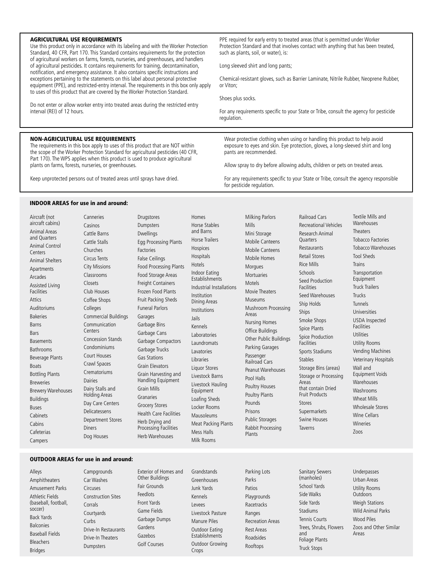#### AGRICULTURAL USE REQUIREMENTS

Use this product only in accordance with its labeling and with the Worker Protection Standard, 40 CFR, Part 170. This Standard contains requirements for the protection of agricultural workers on farms, forests, nurseries, and greenhouses, and handlers of agricultural pesticides. It contains requirements for training, decontamination, notification, and emergency assistance. It also contains specific instructions and exceptions pertaining to the statements on this label about personal protective equipment (PPE), and restricted-entry interval. The requirements in this box only apply to uses of this product that are covered by the Worker Protection Standard.

Do not enter or allow worker entry into treated areas during the restricted entry interval (REI) of 12 hours.

#### NON-AGRICULTURAL USE REQUIREMENTS

The requirements in this box apply to uses of this product that are NOT within the scope of the Worker Protection Standard for agricultural pesticides (40 CFR, Part 170). The WPS applies when this product is used to produce agricultural plants on farms, forests, nurseries, or greenhouses.

Keep unprotected persons out of treated areas until sprays have dried.

Canneries Casinos

Closets

Colleges

**Centers** 

Dairies

Diners

Circuses

Corrals

Curbs

PPE required for early entry to treated areas (that is permitted under Worker Protection Standard and that involves contact with anything that has been treated, such as plants, soil, or water), is:

Long sleeved shirt and long pants;

Chemical-resistant gloves, such as Barrier Laminate, Nitrile Rubber, Neoprene Rubber, or Viton;

Shoes plus socks.

For any requirements specific to your State or Tribe, consult the agency for pesticide regulation.

Wear protective clothing when using or handling this product to help avoid exposure to eyes and skin. Eye protection, gloves, a long-sleeved shirt and long pants are recommended.

Allow spray to dry before allowing adults, children or pets on treated areas.

For any requirements specific to your State or Tribe, consult the agency responsible for pesticide regulation.

#### INDOOR AREAS for use in and around:

| Aircraft (not<br>aircraft cabins)           |
|---------------------------------------------|
| <b>Animal Areas</b><br>and Quarters         |
| Animal Control<br>Centers                   |
| <b>Animal Shelters</b>                      |
| Apartments                                  |
| Arcades                                     |
| <b>Assisted Living</b><br><b>Facilities</b> |
| Attics                                      |
| Auditoriums                                 |
| <b>Bakeries</b>                             |
| Barns                                       |
| Bars                                        |
| <b>Basements</b>                            |
| <b>Bathrooms</b>                            |
| <b>Beverage Plants</b>                      |
| <b>Boats</b>                                |
| <b>Bottling Plants</b>                      |
| <b>Breweries</b>                            |
| <b>Brewery Warehouses</b>                   |
| <b>Buildings</b>                            |
| <b>Buses</b>                                |
| Cabinets                                    |
| Cabins                                      |
| Cafeterias                                  |
| Campers                                     |

Cattle Barns Cattle Stalls Churches Circus Tents City Missions Classrooms Club Houses Coffee Shops Commercial Buildings Communication Concession Stands Condominiums Court Houses Crawl Spaces Crematoriums Dairy Stalls and Holding Areas Day Care Centers Delicatessens Department Stores Dog Houses Dwellings Egg Processing Plants Factories False Ceilings Food Processing Plants Food Storage Areas Freight Containers Frozen Food Plants Fruit Packing Sheds Funeral Parlors Garages Garbage Bins Garbage Cans Garbage Compactors Garbage Trucks Gas Stations Grain Elevators Grain Harvesting and Handling Equipment Grain Mills Granaries Grocery Stores Health Care Facilities Herb Drying and Processing Facilities Herb Warehouses

Drugstores Dumpsters

Homes Horse Stables and Barns Horse Trailers Hospices Hospitals Hotels Indoor Eating **Establishments** Industrial Installations Institution Dining Areas Institutions Jails Kennels Laboratories Laundromats Lavatories Libraries Liquor Stores Livestock Barns Livestock Hauling Equipment Loafing Sheds Locker Rooms Mausoleums Meat Packing Plants Mess Halls Milk Rooms

Milking Parlors Mills Mini Storage Mobile Canteens Mobile Canteens Mobile Homes Morgues **Mortuaries** Motels Movie Theaters Museums Mushroom Processing Areas Nursing Homes Office Buildings Other Public Buildings Parking Garages Passenger Railroad Cars Peanut Warehouses Pool Halls Poultry Houses Poultry Plants Pounds Prisons Public Storages Rabbit Processing Plants

Railroad Cars Recreational Vehicles Research Animal **Ouarters** Restaurants Retail Stores Rice Mills Schools Seed Production Facilities Seed Warehouses Ship Holds Ships Smoke Shops Spice Plants Spice Production Facilities Sports Stadiums Stables Storage Bins (areas) Storage or Processing Areas that contain Dried Fruit Products Stores Supermarkets Swine Houses Taverns

Textile Mills and Warehouses **Theaters** Tobacco Factories Tobacco Warehouses Tool Sheds Trains Transportation Equipment Truck Trailers Trucks Tunnels Universities USDA Inspected Facilities Utilities Utility Rooms Vending Machines Veterinary Hospitals Wall and Equipment Voids Warehouses Washrooms Wheat Mills Wholesale Stores Wine Cellars Wineries Zoos

#### OUTDOOR AREAS for use in and around:

Alleys Amphitheaters Amusement Parks Athletic Fields (baseball, football, soccer) Back Yards **Balconies** Baseball Fields Bleachers Bridges

Campgrounds Car Washes Construction Sites Courtyards Drive-In Restaurants Drive-In Theaters Dumpsters Other Buildings Fair Grounds Feedlots Front Yards Game Fields Garbage Dumps Gardens Gazebos Golf Courses

Exterior of Homes and Grandstands Greenhouses Junk Yards Kennels Levees Livestock Pasture Manure Piles Outdoor Eating **Establishments** Outdoor Growing **Crops** 

Parking Lots Parks Patios Playgrounds Racetracks Ranges Recreation Areas Rest Areas Roadsides Rooftops

Sanitary Sewers (manholes) School Yards Side Walks Side Yards **Stadiums** Tennis Courts Trees, Shrubs, Flowers and Foliage Plants Truck Stops

Underpasses Urban Areas Utility Rooms **Outdoors** Weigh Stations Wild Animal Parks Wood Piles Zoos and Other Similar Areas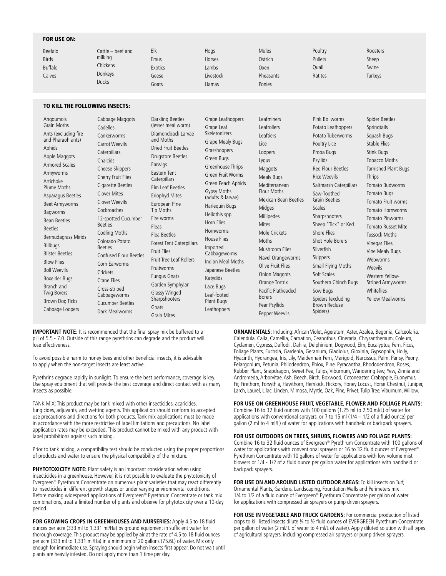#### FOR USE ON:

| Beefalo        | Cattle – beef and | Elk     | Hogs      | Mules     | Poultry | Roosters |
|----------------|-------------------|---------|-----------|-----------|---------|----------|
| <b>Birds</b>   | milking           | Emus    | Horses    | Ostrich   | Pullets | Sheep    |
| <b>Buffalo</b> | Chickens          | Exotics | Lambs     | Oxen      | Quail   | Swine    |
| Calves         | Donkeys           | Geese   | Livestock | Pheasants | Ratites | Turkeys  |
|                | <b>Ducks</b>      | Goats   | Llamas    | Ponies    |         |          |

#### TO KILL THE FOLLOWING INSECTS:

**IMPORTANT NOTE:** It is recommended that the final spray mix be buffered to a pH of 5.5 - 7.0. Outside of this range pyrethrins can degrade and the product will lose effectiveness.

To avoid possible harm to honey bees and other beneficial insects, it is advisable to apply when the non-target insects are least active.

Pyrethrins degrade rapidly in sunlight. To ensure the best performance, coverage is key. Use spray equipment that will provide the best coverage and direct contact with as many insects as possible.

TANK MIX: This product may be tank mixed with other insecticides, acaricides, fungicides, adjuvants, and wetting agents. This application should conform to accepted use precautions and directions for both products. Tank mix applications must be made in accordance with the more restrictive of label limitations and precautions. No label application rates may be exceeded. This product cannot be mixed with any product with label prohibitions against such mixing.

Prior to tank mixing, a compatibility test should be conducted using the proper proportions of products and water to ensure the physical compatibility of the mixture.

**PHYTOTOXICITY NOTE:** Plant safety is an important consideration when using insecticides in a greenhouse. However, it is not possible to evaluate the phytotoxicity of Evergreen® Pyrethrum Concentrate on numerous plant varieties that may react differently to insecticides in different growth stages or under varying environmental conditions. Before making widespread applications of Evergreen® Pyrethrum Concentrate or tank mix combinations, treat a limited number of plants and observe for phytotoxicity over a 10-day period.

**FOR GROWING CROPS IN GREENHOUSES AND NURSERIES:** Apply 4.5 to 18 fluid ounces per acre (333 ml to 1,331 ml/Ha) by ground equipment in sufficient water for thorough coverage. This product may be applied by air at the rate of 4.5 to 18 fluid ounces per acre (333 ml to 1,331 ml/Ha) in a minimum of 20 gallons (75.6L) of water. Mix only enough for immediate use. Spraying should begin when insects first appear. Do not wait until plants are heavily infested. Do not apply more than 1 time per day.

**ORNAMENTALS:** Including: African Violet, Ageratum, Aster, Azalea, Begonia, Calceolaria, Calendula, Calla, Camellia, Carnation, Ceanothus, Cineraria, Chrysanthemum, Coleum, Cyclamen, Cypress, Daffodil, Dahlia, Delphinium, Dogwood, Elm, Eucalyptus, Fern, Ficus, Foliage Plants, Fuchsia, Gardenia, Geranium, Gladiolus, Gloxinia, Gypsophila, Holly, Hyacinth, Hydrangea, Iris, Lily, Maidenhair Fern, Marigold, Narcissus, Palm, Pansy, Peony, Pelargonium, Petunia, Philodendron, Phlox, Pine, Pyracantha, Rhododendron, Roses, Rubber Plant, Snapdragon, Sweet Pea, Tulips, Viburnum, Wandering Jew, Yew, Zinnia and Andromeda, Arborvitae, Ash, Beech, Birch, Boxwood, Cotoneaster, Crabapple, Euonymus, Fir, Firethorn, Forsythia, Hawthorn, Hemlock, Hickory, Honey Locust, Horse Chestnut, Juniper, Larch, Laurel, Lilac, Linden, Mimosa, Myrtle, Oak, Pine, Privet, Tulip Tree, Viburnum, Willow.

#### **FOR USE ON GREENHOUSE FRUIT, VEGETABLE, FLOWER AND FOLIAGE PLANTS:**

Combine 16 to 32 fluid ounces with 100 gallons (1.25 ml to 2.50 ml/L) of water for applications with conventional sprayers, or 7 to 15 ml ( $1/4 - 1/2$  of a fluid ounce) per gallon (2 ml to 4 ml/L) of water for applications with handheld or backpack sprayers.

#### **FOR USE OUTDOORS ON TREES, SHRUBS, FLOWERS AND FOLIAGE PLANTS:**

Combine 16 to 32 fluid ounces of Evergreen® Pyrethrum Concentrate with 100 gallons of water for applications with conventional sprayers or 16 to 32 fluid ounces of Evergreen® Pyrethrum Concentrate with 10 gallons of water for applications with low volume mist blowers or 1/4 - 1/2 of a fluid ounce per gallon water for applications with handheld or backpack sprayers.

**FOR USE ON AND AROUND LISTED OUTDOOR AREAS:** To kill insects on Turf, Ornamental Plants, Gardens, Landscaping, Foundation Walls and Perimeters mix 1/4 to 1/2 of a fluid ounce of Evergreen<sup>®</sup> Pyrethrum Concentrate per gallon of water for applications with compressed air sprayers or pump driven sprayers.

**FOR USE IN VEGETABLE AND TRUCK GARDENS:** For commercial production of listed crops to kill listed insects dilute ¼ to ½ fluid ounces of EVERGREEN Pyrethrum Concentrate per gallon of water (2 ml/ L of water to 4 ml/L of water). Apply diluted solution with all types of agricultural sprayers, including compressed air sprayers or pump driven sprayers.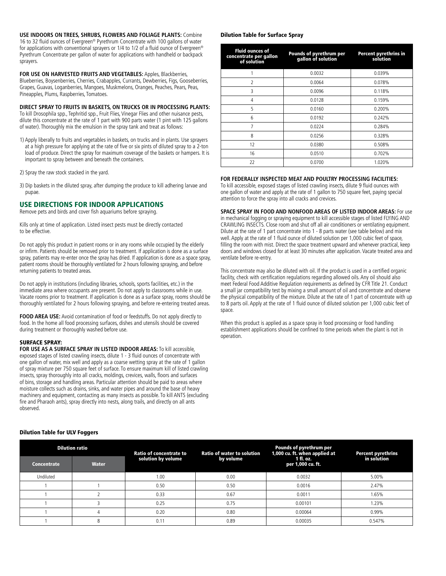**USE INDOORS ON TREES, SHRUBS, FLOWERS AND FOLIAGE PLANTS:** Combine 16 to 32 fluid ounces of Evergreen® Pyrethrum Concentrate with 100 gallons of water for applications with conventional sprayers or 1/4 to 1/2 of a fluid ounce of Evergreen<sup>®</sup> Pyrethrum Concentrate per gallon of water for applications with handheld or backpack sprayers.

**FOR USE ON HARVESTED FRUITS AND VEGETABLES:** Apples, Blackberries, Blueberries, Boysenberries, Cherries, Crabapples, Currants, Dewberries, Figs, Gooseberries, Grapes, Guavas, Loganberries, Mangoes, Muskmelons, Oranges, Peaches, Pears, Peas, Pineapples, Plums, Raspberries, Tomatoes.

#### **DIRECT SPRAY TO FRUITS IN BASKETS, ON TRUCKS OR IN PROCESSING PLANTS:**

To kill Drosophila spp., Tephritid spp., Fruit Flies, Vinegar Flies and other nuisance pests, dilute this concentrate at the rate of 1 part with 900 parts water (1 pint with 125 gallons of water). Thoroughly mix the emulsion in the spray tank and treat as follows:

- 1) Apply liberally to fruits and vegetables in baskets, on trucks and in plants. Use sprayers at a high pressure for applying at the rate of five or six pints of diluted spray to a 2-ton load of produce. Direct the spray for maximum coverage of the baskets or hampers. It is important to spray between and beneath the containers.
- 2) Spray the raw stock stacked in the yard.
- 3) Dip baskets in the diluted spray, after dumping the produce to kill adhering larvae and pupae.

#### USE DIRECTIONS FOR INDOOR APPLICATIONS

Remove pets and birds and cover fish aquariums before spraying.

Kills only at time of application. Listed insect pests must be directly contacted to be effective.

Do not apply this product in patient rooms or in any rooms while occupied by the elderly or infirm. Patients should be removed prior to treatment. If application is done as a surface spray, patients may re-enter once the spray has dried. If application is done as a space spray, patient rooms should be thoroughly ventilated for 2 hours following spraying, and before returning patients to treated areas.

Do not apply in institutions (including libraries, schools, sports facilities, etc.) in the immediate area where occupants are present. Do not apply to classrooms while in use. Vacate rooms prior to treatment. If application is done as a surface spray, rooms should be thoroughly ventilated for 2 hours following spraying, and before re-entering treated areas.

**FOOD AREA USE:** Avoid contamination of food or feedstuffs. Do not apply directly to food. In the home all food processing surfaces, dishes and utensils should be covered during treatment or thoroughly washed before use.

#### SURFACE SPRAY:

**FOR USE AS A SURFACE SPRAY IN LISTED INDOOR AREAS:** To kill accessible, exposed stages of listed crawling insects, dilute 1 - 3 fluid ounces of concentrate with one gallon of water, mix well and apply as a coarse wetting spray at the rate of 1 gallon of spray mixture per 750 square feet of surface. To ensure maximum kill of listed crawling insects, spray thoroughly into all cracks, moldings, crevices, walls, floors and surfaces of bins, storage and handling areas. Particular attention should be paid to areas where moisture collects such as drains, sinks, and water pipes and around the base of heavy machinery and equipment, contacting as many insects as possible. To kill ANTS (excluding fire and Pharaoh ants), spray directly into nests, along trails, and directly on all ants observed.

#### Dilution Table for Surface Spray

| <b>Fluid ounces of</b><br>concentrate per gallon<br>of solution | Pounds of pyrethrum per<br>gallon of solution | <b>Percent pyrethrins in</b><br>solution |  |
|-----------------------------------------------------------------|-----------------------------------------------|------------------------------------------|--|
|                                                                 | 0.0032                                        | 0.039%                                   |  |
| $\overline{2}$                                                  | 0.0064                                        | 0.078%                                   |  |
| 3                                                               | 0.0096                                        | 0.118%                                   |  |
| 4                                                               | 0.0128                                        | 0.159%                                   |  |
| 5                                                               | 0.0160                                        | 0.200%                                   |  |
| 6                                                               | 0.0192                                        | 0.242%                                   |  |
| 7                                                               | 0.0224                                        | 0.284%                                   |  |
| 8                                                               | 0.0256                                        | 0.328%                                   |  |
| 12                                                              | 0.0380                                        | 0.508%                                   |  |
| 16                                                              | 0.0510                                        | 0.702%                                   |  |
| 22                                                              | 0.0700                                        | 1.020%                                   |  |

#### **FOR FEDERALLY INSPECTED MEAT AND POULTRY PROCESSING FACILITIES:**

To kill accessible, exposed stages of listed crawling insects, dilute 9 fluid ounces with one gallon of water and apply at the rate of 1 gallon to 750 square feet, paying special attention to force the spray into all cracks and crevices.

**SPACE SPRAY IN FOOD AND NONFOOD AREAS OF LISTED INDOOR AREAS:** For use in mechanical fogging or spraying equipment to kill accessible stages of listed FLYING AND CRAWLING INSECTS. Close room and shut off all air conditioners or ventilating equipment. Dilute at the rate of 1 part concentrate into 1 - 8 parts water (see table below) and mix well. Apply at the rate of 1 fluid ounce of diluted solution per 1,000 cubic feet of space, filling the room with mist. Direct the space treatment upward and whenever practical, keep doors and windows closed for at least 30 minutes after application. Vacate treated area and ventilate before re-entry.

This concentrate may also be diluted with oil. If the product is used in a certified organic facility, check with certification regulations regarding allowed oils. Any oil should also meet Federal Food Additive Regulation requirements as defined by CFR Title 21. Conduct a small jar compatibility test by mixing a small amount of oil and concentrate and observe the physical compatibility of the mixture. Dilute at the rate of 1 part of concentrate with up to 8 parts oil. Apply at the rate of 1 fluid ounce of diluted solution per 1,000 cubic feet of space.

When this product is applied as a space spray in food processing or food handling establishment applications should be confined to time periods when the plant is not in operation.

## Dilution Table for ULV Foggers

| <b>Dilution ratio</b> |              | Ratio of concentrate to | <b>Ratio of water to solution</b> | Pounds of pyrethrum per<br>1,000 cu. ft. when applied at | <b>Percent pyrethrins</b> |
|-----------------------|--------------|-------------------------|-----------------------------------|----------------------------------------------------------|---------------------------|
| <b>Concentrate</b>    | <b>Water</b> | solution by volume      | by volume                         | 1 fl. oz.<br>per 1,000 cu. ft.                           | in solution               |
| Undiluted             |              | 1.00                    | 0.00                              | 0.0032                                                   | 5.00%                     |
|                       |              | 0.50                    | 0.50                              | 0.0016                                                   | 2.47%                     |
|                       |              | 0.33                    | 0.67                              | 0.0011                                                   | 1.65%                     |
|                       |              | 0.25                    | 0.75                              | 0.00101                                                  | 1.23%                     |
|                       |              | 0.20                    | 0.80                              | 0.00064                                                  | 0.99%                     |
|                       | 8            | 0.11                    | 0.89                              | 0.00035                                                  | 0.547%                    |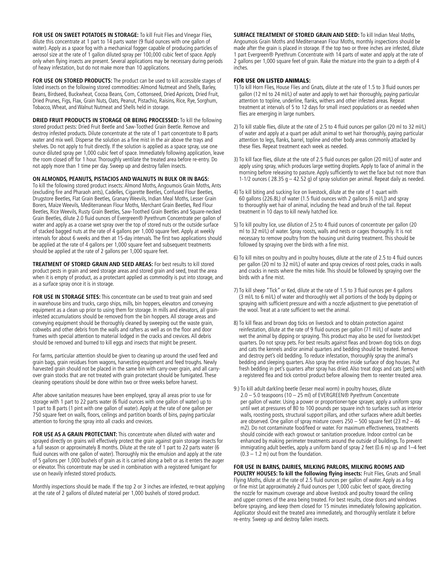**FOR USE ON SWEET POTATOES IN STORAGE:** To kill Fruit Flies and Vinegar Flies, dilute this concentrate at 1 part to 14 parts water (9 fluid ounces with one gallon of water). Apply as a space fog with a mechanical fogger capable of producing particles of aerosol size at the rate of 1 gallon diluted spray per 100,000 cubic feet of space. Apply only when flying insects are present. Several applications may be necessary during periods of heavy infestation, but do not make more than 10 applications.

**FOR USE ON STORED PRODUCTS:** The product can be used to kill accessible stages of listed insects on the following stored commodities: Almond Nutmeat and Shells, Barley, Beans, Birdseed, Buckwheat, Cocoa Beans, Corn, Cottonseed, Dried Apricots, Dried Fruit, Dried Prunes, Figs, Flax, Grain Nuts, Oats, Peanut, Pistachio, Raisins, Rice, Rye, Sorghum, Tobacco, Wheat, and Walnut Nutmeat and Shells held in storage.

**DRIED FRUIT PRODUCTS IN STORAGE OR BEING PROCESSED:** To kill the following stored product pests: Dried Fruit Beetle and Saw-Toothed Grain Beetle. Remove and destroy infested products. Dilute concentrate at the rate of 1 part concentrate to 8 parts water and mix well. Disperse the solution as a fine mist in the air above the trays and shelves. Do not apply to fruit directly. If the solution is applied as a space spray, use one ounce diluted spray per 1,000 cubic feet of space. Immediately following application, leave the room closed off for 1 hour. Thoroughly ventilate the treated area before re-entry. Do not apply more than 1 time per day. Sweep up and destroy fallen insects.

#### **ON ALMONDS, PEANUTS, PISTACIOS AND WALNUTS IN BULK OR IN BAGS:**

To kill the following stored product insects: Almond Moths, Angoumois Grain Moths, Ants (excluding fire and Pharaoh ants), Cadelles, Cigarette Beetles, Confused Flour Beetles, Drugstore Beetles, Flat Grain Beetles, Granary Weevils, Indian Meal Moths, Lesser Grain Borers, Maize Weevils, Mediterranean Flour Moths, Merchant Grain Beetles, Red Flour Beetles, Rice Weevils, Rusty Grain Beetles, Saw-Toothed Grain Beetles and Square-necked Grain Beetles, dilute 2.0 fluid ounces of Evergreen® Pyrethrum Concentrate per gallon of water and apply as a coarse wet spray over the top of stored nuts or the outside surface of stacked bagged nuts at the rate of 4 gallons per 1,000 square feet. Apply at weekly intervals for about 6 weeks and then at 15-day intervals. The first two applications should be applied at the rate of 4 gallons per 1,000 square feet and subsequent treatments should be applied at the rate of 2 gallons per 1,000 square feet.

**TREATMENT OF STORED GRAIN AND SEED AREAS:** For best results to kill stored product pests in grain and seed storage areas and stored grain and seed, treat the area when it is empty of product, as a protectant applied as commodity is put into storage, and as a surface spray once it is in storage.

**FOR USE IN STORAGE SITES:** This concentrate can be used to treat grain and seed in warehouse bins and trucks, cargo ships, mills, bin hoppers, elevators and conveying equipment as a clean up prior to using them for storage. In mills and elevators, all graininfested accumulations should be removed from the bin hoppers. All storage areas and conveying equipment should be thoroughly cleaned by sweeping out the waste grain, cobwebs and other debris from the walls and rafters as well as on the floor and door frames with special attention to material lodged in the cracks and crevices. All debris should be removed and burned to kill eggs and insects that might be present.

For farms, particular attention should be given to cleaning up around the used feed and grain bags, grain residues from wagons, harvesting equipment and feed troughs. Newly harvested grain should not be placed in the same bin with carry-over grain, and all carryover grain stocks that are not treated with grain protectant should be fumigated. These cleaning operations should be done within two or three weeks before harvest.

After above sanitation measures have been employed, spray all areas prior to use for storage with 1 part to 22 parts water (6 fluid ounces with one gallon of water) up to 1 part to 8 parts (1 pint with one gallon of water). Apply at the rate of one gallon per 750 square feet on walls, floors, ceilings and partition boards of bins, paying particular attention to forcing the spray into all cracks and crevices.

FOR USE AS A GRAIN PROTECTANT: This concentrate when diluted with water and sprayed directly on grains will effectively protect the grain against grain storage insects for a full season or approximately 8 months. Dilute at the rate of 1 part to 22 parts water (6 fluid ounces with one gallon of water). Thoroughly mix the emulsion and apply at the rate of 5 gallons per 1,000 bushels of grain as it is carried along a belt or as it enters the auger or elevator. This concentrate may be used in combination with a registered fumigant for use on heavily infested stored products.

Monthly inspections should be made. If the top 2 or 3 inches are infested, re-treat applying at the rate of 2 gallons of diluted material per 1,000 bushels of stored product.

**SURFACE TREATMENT OF STORED GRAIN AND SEED:** To kill Indian Meal Moths, Angoumois Grain Moths and Mediterranean Flour Moths, monthly inspections should be made after the grain is placed in storage. If the top two or three inches are infested, dilute 1 part Evergreen® Pyrethrum Concentrate with 14 parts of water and apply at the rate of 2 gallons per 1,000 square feet of grain. Rake the mixture into the grain to a depth of 4 inches.

#### FOR USE ON LISTED ANIMALS:

- 1) To kill Horn Flies, House Flies and Gnats, dilute at the rate of 1.5 to 3 fluid ounces per gallon (12 ml to 24 ml/L) of water and apply to wet hair thoroughly, paying particular attention to topline, underline, flanks, withers and other infested areas. Repeat treatment at intervals of 5 to 12 days for small insect populations or as needed when flies are emerging in large numbers.
- 2) To kill stable flies, dilute at the rate of 2.5 to 4 fluid ounces per gallon (20 ml to 32 ml/L) of water and apply at a quart per adult animal to wet hair thoroughly, paying particular attention to legs, flanks, barrel, topline and other body areas commonly attacked by these flies. Repeat treatment each week as needed.
- 3) To kill face flies, dilute at the rate of 2.5 fluid ounces per gallon (20 ml/L) of water and apply using spray, which produces large wetting droplets. Apply to face of animal in the morning before releasing to pasture. Apply sufficiently to wet the face but not more than 1-1/2 ounces (  $28.35 g - 42.52 g$ ) of spray solution per animal. Repeat daily as needed.
- 4) To kill biting and sucking lice on livestock, dilute at the rate of 1 quart with 60 gallons (226.8L) of water (1.5 fluid ounces with 2 gallons [6 ml/L]) and spray to thoroughly wet hair of animal, including the head and brush of the tail. Repeat treatment in 10 days to kill newly hatched lice.
- 5) To kill poultry lice, use dilution of 2.5 to 4 fluid ounces of concentrate per gallon (20 ml to 32 ml/L) of water. Spray roosts, walls and nests or cages thoroughly. It is not necessary to remove poultry from the housing unit during treatment. This should be followed by spraying over the birds with a fine mist.
- 6) To kill mites on poultry and in poultry houses, dilute at the rate of 2.5 to 4 fluid ounces per gallon (20 ml to 32 ml/L) of water and spray crevices of roost poles, cracks in walls and cracks in nests where the mites hide. This should be followed by spraying over the birds with a fine mist.
- 7) To kill sheep "Tick" or Ked, dilute at the rate of 1.5 to 3 fluid ounces per 4 gallons (3 ml/L to 6 ml/L) of water and thoroughly wet all portions of the body by dipping or spraying with sufficient pressure and with a nozzle adjustment to give penetration of the wool. Treat at a rate sufficient to wet the animal.
- 8) To kill fleas and brown dog ticks on livestock and to obtain protection against reinfestation, dilute at the rate of 9 fluid ounces per gallon (71 ml/L) of water and wet the animal by dipping or spraying. This product may also be used for livestock/pet quarters. Do not spray pets. For best results against fleas and brown dog ticks on dogs and cats the kennels and/or animal quarters and bedding should be treated. Remove and destroy pet's old bedding. To reduce infestation, thoroughly spray the animal's bedding and sleeping quarters. Also spray the entire inside surface of dog houses. Put fresh bedding in pet's quarters after spray has dried. Also treat dogs and cats [pets] with a registered flea and tick control product before allowing them to reenter treated area.
- 9.) To kill adult darkling beetle (lesser meal worm) in poultry houses, dilute 2.0 – 5.0 teaspoons (10 – 25 ml) of EVERGREEN® Pyrethrum Concentrate per gallon of water. Using a power or proportioner-type sprayer, apply a uniform spray until wet at pressures of 80 to 100 pounds per square inch to surfaces such as interior walls, roosting posts, structural support pillars, and other surfaces where adult beetles are observed. One gallon of spray mixture covers 250 – 500 square feet (23 m2 – 46 m2). Do not contaminate food/feed or water. For maximum effectiveness, treatments should coincide with each growout or sanitation procedure. Indoor control can be enhanced by making perimeter treatments around the outside of buildings. To prevent immigrating adult beetles, apply a uniform band of spray 2 feet (0.6 m) up and 1–4 feet  $(0.3 - 1.2 \text{ m})$  out from the foundation.

**FOR USE IN BARNS, DAIRIES, MILKING PARLORS, MILKING ROOMS AND POULTRY HOUSES: To kill the following flying insects:** Fruit Flies, Gnats and Small Flying Moths, dilute at the rate of 2.5 fluid ounces per gallon of water. Apply as a fog or fine mist (at approximately 2 fluid ounces per 1,000 cubic feet of space, directing the nozzle for maximum coverage and above livestock and poultry toward the ceiling and upper corners of the area being treated. For best results, close doors and windows before spraying, and keep them closed for 15 minutes immediately following application. Applicator should exit the treated area immediately, and thoroughly ventilate it before re-entry. Sweep up and destroy fallen insects.